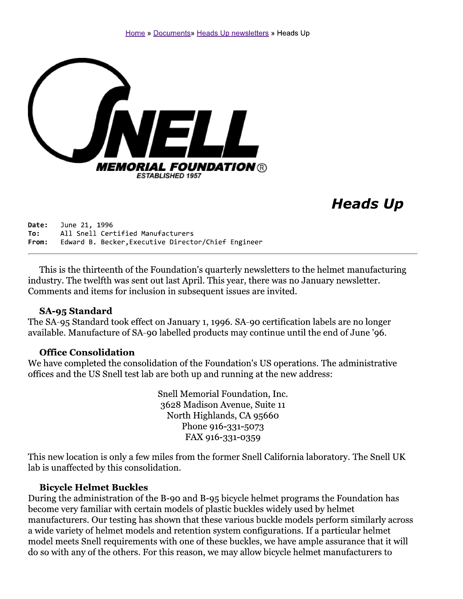

# **Heads Up**

Date: June 21, 1996 All Snell Certified Manufacturers To: Edward B. Becker, Executive Director/Chief Engineer From:

This is the thirteenth of the Foundation's quarterly newsletters to the helmet manufacturing industry. The twelfth was sent out last April. This year, there was no January newsletter. Comments and items for inclusion in subsequent issues are invited.

#### SA-95 Standard

The SA-95 Standard took effect on January 1, 1996. SA-90 certification labels are no longer available. Manufacture of SA-90 labelled products may continue until the end of June '96.

#### **Office Consolidation**

We have completed the consolidation of the Foundation's US operations. The administrative offices and the US Snell test lab are both up and running at the new address:

> Snell Memorial Foundation, Inc. 3628 Madison Avenue, Suite 11 North Highlands, CA 95660 Phone 916-331-5073 FAX 916-331-0359

This new location is only a few miles from the former Snell California laboratory. The Snell UK lab is unaffected by this consolidation.

#### **Bicycle Helmet Buckles**

During the administration of the B-90 and B-95 bicycle helmet programs the Foundation has become very familiar with certain models of plastic buckles widely used by helmet manufacturers. Our testing has shown that these various buckle models perform similarly across a wide variety of helmet models and retention system configurations. If a particular helmet model meets Snell requirements with one of these buckles, we have ample assurance that it will do so with any of the others. For this reason, we may allow bicycle helmet manufacturers to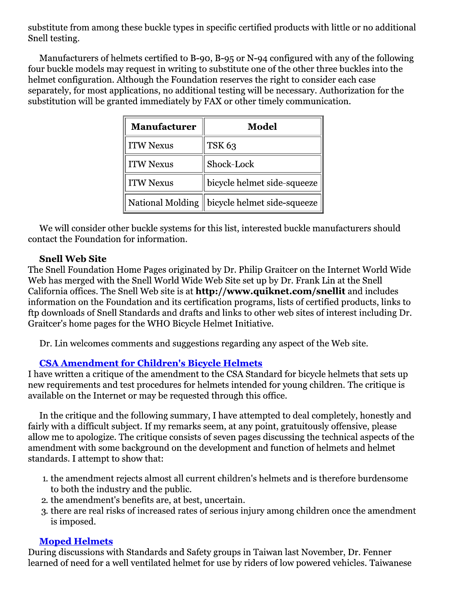substitute from among these buckle types in specific certified products with little or no additional Snell testing.

Manufacturers of helmets certified to B-90, B-95 or N-94 configured with any of the following four buckle models may request in writing to substitute one of the other three buckles into the helmet configuration. Although the Foundation reserves the right to consider each case separately, for most applications, no additional testing will be necessary. Authorization for the substitution will be granted immediately by FAX or other timely communication.

| <b>Manufacturer</b> | Model                       |  |
|---------------------|-----------------------------|--|
| <b>ITW Nexus</b>    | <b>TSK 63</b>               |  |
| <b>ITW Nexus</b>    | Shock-Lock                  |  |
| <b>ITW Nexus</b>    | bicycle helmet side-squeeze |  |
| National Molding    | bicycle helmet side-squeeze |  |

We will consider other buckle systems for this list, interested buckle manufacturers should contact the Foundation for information.

# **Snell Web Site**

The Snell Foundation Home Pages originated by Dr. Philip Graitcer on the Internet World Wide Web has merged with the Snell World Wide Web Site set up by Dr. Frank Lin at the Snell California offices. The Snell Web site is at http://www.quiknet.com/snellit and includes information on the Foundation and its certification programs, lists of certified products, links to ftp downloads of Snell Standards and drafts and links to other web sites of interest including Dr. Graitcer's home pages for the WHO Bicycle Helmet Initiative.

Dr. Lin welcomes comments and suggestions regarding any aspect of the Web site.

## **CSA Amendment for Children's Bicycle Helmets**

I have written a critique of the amendment to the CSA Standard for bicycle helmets that sets up new requirements and test procedures for helmets intended for young children. The critique is available on the Internet or may be requested through this office.

In the critique and the following summary, I have attempted to deal completely, honestly and fairly with a difficult subject. If my remarks seem, at any point, gratuitously offensive, please allow me to apologize. The critique consists of seven pages discussing the technical aspects of the amendment with some background on the development and function of helmets and helmet standards. I attempt to show that:

- 1. the amendment rejects almost all current children's helmets and is therefore burdensome to both the industry and the public.
- 2. the amendment's benefits are, at best, uncertain.
- 3. there are real risks of increased rates of serious injury among children once the amendment is imposed.

## **Moped Helmets**

During discussions with Standards and Safety groups in Taiwan last November, Dr. Fenner learned of need for a well ventilated helmet for use by riders of low powered vehicles. Taiwanese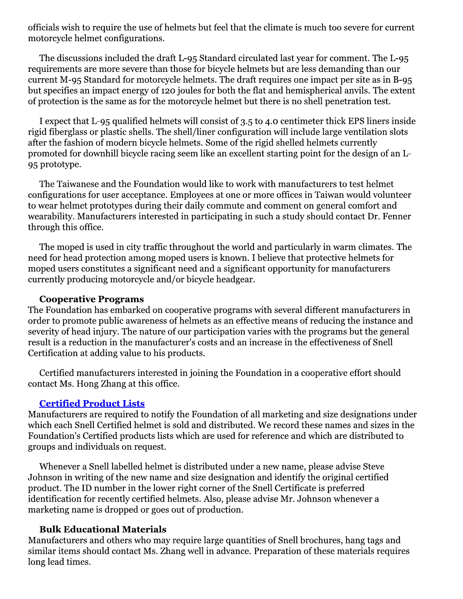officials wish to require the use of helmets but feel that the climate is much too severe for current motorcycle helmet configurations.

The discussions included the draft L-95 Standard circulated last year for comment. The L-95 requirements are more severe than those for bicycle helmets but are less demanding than our current M-95 Standard for motorcycle helmets. The draft requires one impact per site as in B-95 but specifies an impact energy of 120 joules for both the flat and hemispherical anvils. The extent of protection is the same as for the motorcycle helmet but there is no shell penetration test.

I expect that L-95 qualified helmets will consist of 3.5 to 4.0 centimeter thick EPS liners inside rigid fiberglass or plastic shells. The shell/liner configuration will include large ventilation slots after the fashion of modern bicycle helmets. Some of the rigid shelled helmets currently promoted for downhill bicycle racing seem like an excellent starting point for the design of an L-95 prototype.

The Taiwanese and the Foundation would like to work with manufacturers to test helmet configurations for user acceptance. Employees at one or more offices in Taiwan would volunteer to wear helmet prototypes during their daily commute and comment on general comfort and wearability. Manufacturers interested in participating in such a study should contact Dr. Fenner through this office.

The moped is used in city traffic throughout the world and particularly in warm climates. The need for head protection among moped users is known. I believe that protective helmets for moped users constitutes a significant need and a significant opportunity for manufacturers currently producing motorcycle and/or bicycle headgear.

#### **Cooperative Programs**

The Foundation has embarked on cooperative programs with several different manufacturers in order to promote public awareness of helmets as an effective means of reducing the instance and severity of head injury. The nature of our participation varies with the programs but the general result is a reduction in the manufacturer's costs and an increase in the effectiveness of Snell Certification at adding value to his products.

Certified manufacturers interested in joining the Foundation in a cooperative effort should contact Ms. Hong Zhang at this office.

## **Certified Product Lists**

Manufacturers are required to notify the Foundation of all marketing and size designations under which each Snell Certified helmet is sold and distributed. We record these names and sizes in the Foundation's Certified products lists which are used for reference and which are distributed to groups and individuals on request.

Whenever a Snell labelled helmet is distributed under a new name, please advise Steve Johnson in writing of the new name and size designation and identify the original certified product. The ID number in the lower right corner of the Snell Certificate is preferred identification for recently certified helmets. Also, please advise Mr. Johnson whenever a marketing name is dropped or goes out of production.

# **Bulk Educational Materials**

Manufacturers and others who may require large quantities of Snell brochures, hang tags and similar items should contact Ms. Zhang well in advance. Preparation of these materials requires long lead times.